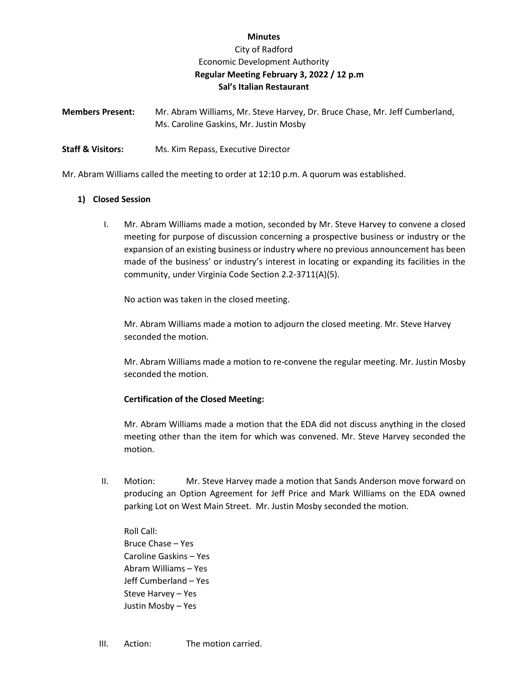### **Minutes**

# City of Radford Economic Development Authority **Regular Meeting February 3, 2022 / 12 p.m Sal's Italian Restaurant**

**Members Present:** Mr. Abram Williams, Mr. Steve Harvey, Dr. Bruce Chase, Mr. Jeff Cumberland, Ms. Caroline Gaskins, Mr. Justin Mosby

**Staff & Visitors:** Ms. Kim Repass, Executive Director

Mr. Abram Williams called the meeting to order at 12:10 p.m. A quorum was established.

## **1) Closed Session**

I. Mr. Abram Williams made a motion, seconded by Mr. Steve Harvey to convene a closed meeting for purpose of discussion concerning a prospective business or industry or the expansion of an existing business or industry where no previous announcement has been made of the business' or industry's interest in locating or expanding its facilities in the community, under Virginia Code Section 2.2-3711(A)(5).

No action was taken in the closed meeting.

Mr. Abram Williams made a motion to adjourn the closed meeting. Mr. Steve Harvey seconded the motion.

Mr. Abram Williams made a motion to re-convene the regular meeting. Mr. Justin Mosby seconded the motion.

#### **Certification of the Closed Meeting:**

Mr. Abram Williams made a motion that the EDA did not discuss anything in the closed meeting other than the item for which was convened. Mr. Steve Harvey seconded the motion.

II. Motion: Mr. Steve Harvey made a motion that Sands Anderson move forward on producing an Option Agreement for Jeff Price and Mark Williams on the EDA owned parking Lot on West Main Street. Mr. Justin Mosby seconded the motion.

Roll Call: Bruce Chase – Yes Caroline Gaskins – Yes Abram Williams – Yes Jeff Cumberland – Yes Steve Harvey – Yes Justin Mosby – Yes